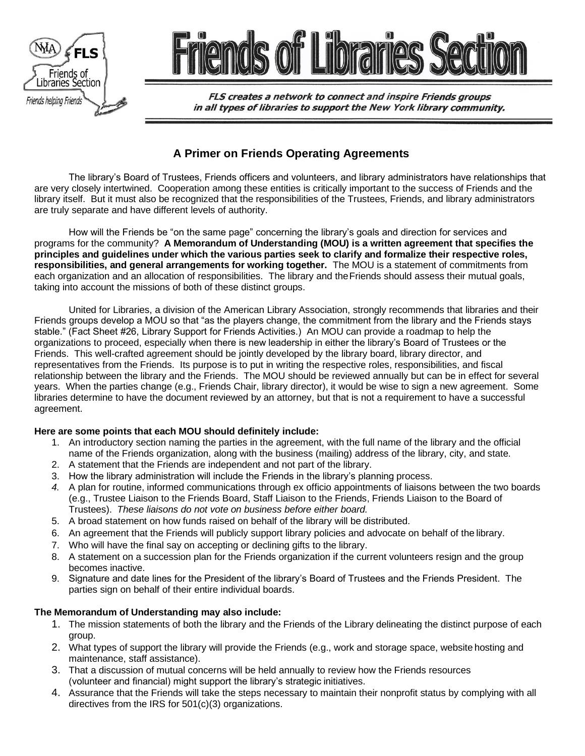

**FLS creates a network to connect and inspire Friends groups** in all types of libraries to support the New York library community.

# **A Primer on Friends Operating Agreements**

The library's Board of Trustees, Friends officers and volunteers, and library administrators have relationships that are very closely intertwined. Cooperation among these entities is critically important to the success of Friends and the library itself. But it must also be recognized that the responsibilities of the Trustees, Friends, and library administrators are truly separate and have different levels of authority.

How will the Friends be "on the same page" concerning the library's goals and direction for services and programs for the community? **A Memorandum of Understanding (MOU) is a written agreement that specifies the principles and guidelines under which the various parties seek to clarify and formalize their respective roles, responsibilities, and general arrangements for working together.** The MOU is a statement of commitments from each organization and an allocation of responsibilities. The library and theFriends should assess their mutual goals, taking into account the missions of both of these distinct groups.

United for Libraries, a division of the American Library Association, strongly recommends that libraries and their Friends groups develop a MOU so that "as the players change, the commitment from the library and the Friends stays stable." (Fact Sheet #26, Library Support for Friends Activities.) An MOU can provide a roadmap to help the organizations to proceed, especially when there is new leadership in either the library's Board of Trustees or the Friends. This well-crafted agreement should be jointly developed by the library board, library director, and representatives from the Friends. Its purpose is to put in writing the respective roles, responsibilities, and fiscal relationship between the library and the Friends. The MOU should be reviewed annually but can be in effect for several years. When the parties change (e.g., Friends Chair, library director), it would be wise to sign a new agreement. Some libraries determine to have the document reviewed by an attorney, but that is not a requirement to have a successful agreement.

### **Here are some points that each MOU should definitely include:**

- 1. An introductory section naming the parties in the agreement, with the full name of the library and the official name of the Friends organization, along with the business (mailing) address of the library, city, and state.
- 2. A statement that the Friends are independent and not part of the library.
- 3. How the library administration will include the Friends in the library's planning process.
- *4.* A plan for routine, informed communications through ex officio appointments of liaisons between the two boards (e.g., Trustee Liaison to the Friends Board, Staff Liaison to the Friends, Friends Liaison to the Board of Trustees). *These liaisons do not vote on business before either board.*
- 5. A broad statement on how funds raised on behalf of the library will be distributed.
- 6. An agreement that the Friends will publicly support library policies and advocate on behalf of the library.
- 7. Who will have the final say on accepting or declining gifts to the library.
- 8. A statement on a succession plan for the Friends organization if the current volunteers resign and the group becomes inactive.
- 9. Signature and date lines for the President of the library's Board of Trustees and the Friends President. The parties sign on behalf of their entire individual boards.

### **The Memorandum of Understanding may also include:**

- 1. The mission statements of both the library and the Friends of the Library delineating the distinct purpose of each group.
- 2. What types of support the library will provide the Friends (e.g., work and storage space, website hosting and maintenance, staff assistance).
- 3. That a discussion of mutual concerns will be held annually to review how the Friends resources (volunteer and financial) might support the library's strategic initiatives.
- 4. Assurance that the Friends will take the steps necessary to maintain their nonprofit status by complying with all directives from the IRS for 501(c)(3) organizations.